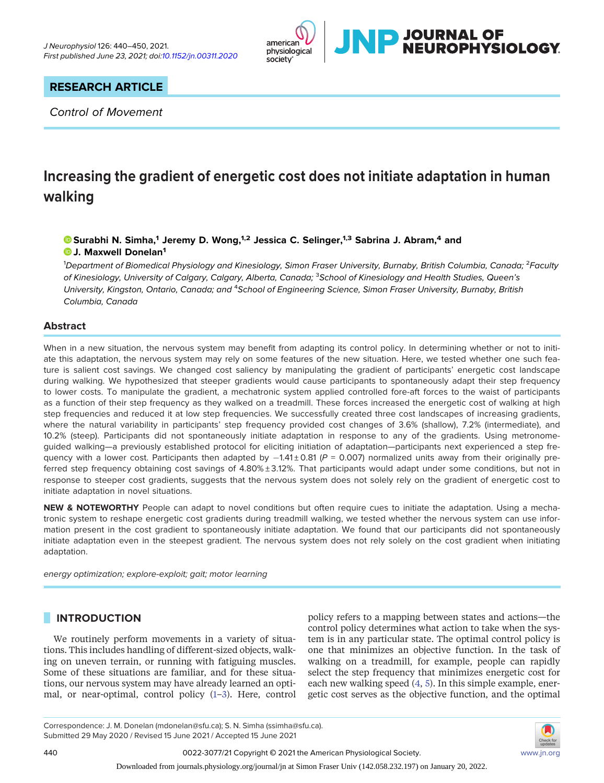

# RESEARCH ARTICLE

Control of Movement

# Increasing the gradient of energetic cost does not initiate adaptation in human walking

# $\bullet$  [Surabhi N. Simha,](https://orcid.org/0000-0001-5402-8998) $^1$  Jeremy D. Wong, $^{1,2}$  Jessica C. Selinger, $^{1,3}$  Sabrina J. Abram, $^4$  and **D.J. Maxwell Donelan<sup>1</sup>**

<sup>1</sup>Department of Biomedical Physiology and Kinesiology, Simon Fraser University, Burnaby, British Columbia, Canada; <sup>2</sup>Faculty of Kinesiology, University of Calgary, Calgary, Alberta, Canada; <sup>3</sup>School of Kinesiology and Health Studies, Queen's University, Kingston, Ontario, Canada; and <sup>4</sup>School of Engineering Science, Simon Fraser University, Burnaby, British Columbia, Canada

# Abstract

When in a new situation, the nervous system may benefit from adapting its control policy. In determining whether or not to initiate this adaptation, the nervous system may rely on some features of the new situation. Here, we tested whether one such feature is salient cost savings. We changed cost saliency by manipulating the gradient of participants' energetic cost landscape during walking. We hypothesized that steeper gradients would cause participants to spontaneously adapt their step frequency to lower costs. To manipulate the gradient, a mechatronic system applied controlled fore-aft forces to the waist of participants as a function of their step frequency as they walked on a treadmill. These forces increased the energetic cost of walking at high step frequencies and reduced it at low step frequencies. We successfully created three cost landscapes of increasing gradients, where the natural variability in participants' step frequency provided cost changes of 3.6% (shallow), 7.2% (intermediate), and 10.2% (steep). Participants did not spontaneously initiate adaptation in response to any of the gradients. Using metronomeguided walking—a previously established protocol for eliciting initiation of adaptation—participants next experienced a step frequency with a lower cost. Participants then adapted by  $-1.41 \pm 0.81$  (P = 0.007) normalized units away from their originally preferred step frequency obtaining cost savings of  $4.80\% \pm 3.12\%$ . That participants would adapt under some conditions, but not in response to steeper cost gradients, suggests that the nervous system does not solely rely on the gradient of energetic cost to initiate adaptation in novel situations.

NEW & NOTEWORTHY People can adapt to novel conditions but often require cues to initiate the adaptation. Using a mechatronic system to reshape energetic cost gradients during treadmill walking, we tested whether the nervous system can use information present in the cost gradient to spontaneously initiate adaptation. We found that our participants did not spontaneously initiate adaptation even in the steepest gradient. The nervous system does not rely solely on the cost gradient when initiating adaptation.

energy optimization; explore-exploit; gait; motor learning

# INTRODUCTION

We routinely perform movements in a variety of situations. This includes handling of different-sized objects, walking on uneven terrain, or running with fatiguing muscles. Some of these situations are familiar, and for these situations, our nervous system may have already learned an optimal, or near-optimal, control policy ([1](#page-9-0)–[3\)](#page-9-1). Here, control

policy refers to a mapping between states and actions—the control policy determines what action to take when the system is in any particular state. The optimal control policy is one that minimizes an objective function. In the task of walking on a treadmill, for example, people can rapidly select the step frequency that minimizes energetic cost for each new walking speed [\(4,](#page-9-2) [5](#page-9-3)). In this simple example, energetic cost serves as the objective function, and the optimal



Correspondence: J. M. Donelan (mdonelan@sfu.ca); S. N. Simha (ssimha@sfu.ca). Submitted 29 May 2020 / Revised 15 June 2021 / Accepted 15 June 2021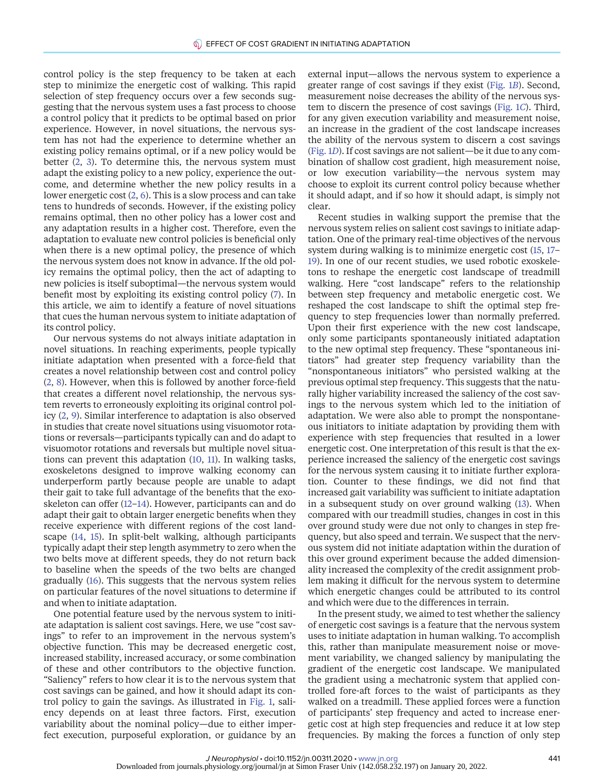control policy is the step frequency to be taken at each step to minimize the energetic cost of walking. This rapid selection of step frequency occurs over a few seconds suggesting that the nervous system uses a fast process to choose a control policy that it predicts to be optimal based on prior experience. However, in novel situations, the nervous system has not had the experience to determine whether an existing policy remains optimal, or if a new policy would be better [\(2,](#page-9-4) [3](#page-9-1)). To determine this, the nervous system must adapt the existing policy to a new policy, experience the outcome, and determine whether the new policy results in a lower energetic cost [\(2,](#page-9-4) [6](#page-9-5)). This is a slow process and can take tens to hundreds of seconds. However, if the existing policy remains optimal, then no other policy has a lower cost and any adaptation results in a higher cost. Therefore, even the adaptation to evaluate new control policies is beneficial only when there is a new optimal policy, the presence of which the nervous system does not know in advance. If the old policy remains the optimal policy, then the act of adapting to new policies is itself suboptimal—the nervous system would benefit most by exploiting its existing control policy [\(7\)](#page-9-6). In this article, we aim to identify a feature of novel situations that cues the human nervous system to initiate adaptation of its control policy.

Our nervous systems do not always initiate adaptation in novel situations. In reaching experiments, people typically initiate adaptation when presented with a force-field that creates a novel relationship between cost and control policy ([2](#page-9-4), [8](#page-9-7)). However, when this is followed by another force-field that creates a different novel relationship, the nervous system reverts to erroneously exploiting its original control policy [\(2](#page-9-4), [9](#page-9-8)). Similar interference to adaptation is also observed in studies that create novel situations using visuomotor rotations or reversals—participants typically can and do adapt to visuomotor rotations and reversals but multiple novel situations can prevent this adaptation [\(10](#page-9-9), [11\)](#page-9-10). In walking tasks, exoskeletons designed to improve walking economy can underperform partly because people are unable to adapt their gait to take full advantage of the benefits that the exoskeleton can offer ([12](#page-9-11)–[14](#page-9-12)). However, participants can and do adapt their gait to obtain larger energetic benefits when they receive experience with different regions of the cost landscape [\(14](#page-9-12), [15\)](#page-9-13). In split-belt walking, although participants typically adapt their step length asymmetry to zero when the two belts move at different speeds, they do not return back to baseline when the speeds of the two belts are changed gradually [\(16](#page-9-14)). This suggests that the nervous system relies on particular features of the novel situations to determine if and when to initiate adaptation.

One potential feature used by the nervous system to initiate adaptation is salient cost savings. Here, we use "cost savings" to refer to an improvement in the nervous system's objective function. This may be decreased energetic cost, increased stability, increased accuracy, or some combination of these and other contributors to the objective function. "Saliency" refers to how clear it is to the nervous system that cost savings can be gained, and how it should adapt its control policy to gain the savings. As illustrated in [Fig. 1](#page-2-0), saliency depends on at least three factors. First, execution variability about the nominal policy—due to either imperfect execution, purposeful exploration, or guidance by an

external input—allows the nervous system to experience a greater range of cost savings if they exist [\(Fig. 1](#page-2-0)B). Second, measurement noise decreases the ability of the nervous system to discern the presence of cost savings ([Fig. 1](#page-2-0)C). Third, for any given execution variability and measurement noise, an increase in the gradient of the cost landscape increases the ability of the nervous system to discern a cost savings ([Fig. 1](#page-2-0)D). If cost savings are not salient—be it due to any combination of shallow cost gradient, high measurement noise, or low execution variability—the nervous system may choose to exploit its current control policy because whether it should adapt, and if so how it should adapt, is simply not clear.

Recent studies in walking support the premise that the nervous system relies on salient cost savings to initiate adaptation. One of the primary real-time objectives of the nervous system during walking is to minimize energetic cost ([15](#page-9-13), [17](#page-9-15)– [19](#page-9-16)). In one of our recent studies, we used robotic exoskeletons to reshape the energetic cost landscape of treadmill walking. Here "cost landscape" refers to the relationship between step frequency and metabolic energetic cost. We reshaped the cost landscape to shift the optimal step frequency to step frequencies lower than normally preferred. Upon their first experience with the new cost landscape, only some participants spontaneously initiated adaptation to the new optimal step frequency. These "spontaneous initiators" had greater step frequency variability than the "nonspontaneous initiators" who persisted walking at the previous optimal step frequency. This suggests that the naturally higher variability increased the saliency of the cost savings to the nervous system which led to the initiation of adaptation. We were also able to prompt the nonspontaneous initiators to initiate adaptation by providing them with experience with step frequencies that resulted in a lower energetic cost. One interpretation of this result is that the experience increased the saliency of the energetic cost savings for the nervous system causing it to initiate further exploration. Counter to these findings, we did not find that increased gait variability was sufficient to initiate adaptation in a subsequent study on over ground walking [\(13\)](#page-9-17). When compared with our treadmill studies, changes in cost in this over ground study were due not only to changes in step frequency, but also speed and terrain. We suspect that the nervous system did not initiate adaptation within the duration of this over ground experiment because the added dimensionality increased the complexity of the credit assignment problem making it difficult for the nervous system to determine which energetic changes could be attributed to its control and which were due to the differences in terrain.

In the present study, we aimed to test whether the saliency of energetic cost savings is a feature that the nervous system uses to initiate adaptation in human walking. To accomplish this, rather than manipulate measurement noise or movement variability, we changed saliency by manipulating the gradient of the energetic cost landscape. We manipulated the gradient using a mechatronic system that applied controlled fore-aft forces to the waist of participants as they walked on a treadmill. These applied forces were a function of participants' step frequency and acted to increase energetic cost at high step frequencies and reduce it at low step frequencies. By making the forces a function of only step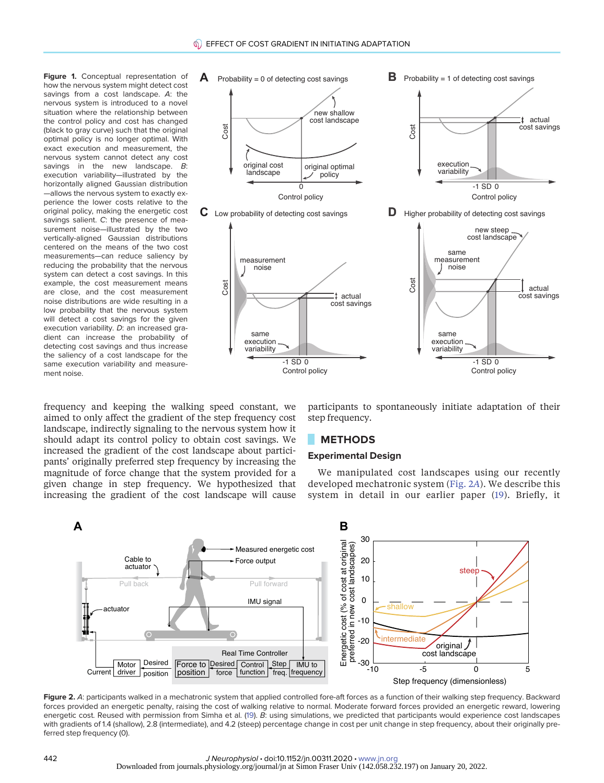<span id="page-2-0"></span>Figure 1. Conceptual representation of how the nervous system might detect cost savings from a cost landscape. A: the nervous system is introduced to a novel situation where the relationship between the control policy and cost has changed (black to gray curve) such that the original optimal policy is no longer optimal. With exact execution and measurement, the nervous system cannot detect any cost savings in the new landscape. B: execution variability—illustrated by the horizontally aligned Gaussian distribution —allows the nervous system to exactly experience the lower costs relative to the original policy, making the energetic cost savings salient. C: the presence of measurement noise—illustrated by the two vertically-aligned Gaussian distributions centered on the means of the two cost measurements—can reduce saliency by reducing the probability that the nervous system can detect a cost savings. In this example, the cost measurement means are close, and the cost measurement noise distributions are wide resulting in a low probability that the nervous system will detect a cost savings for the given execution variability. D: an increased gradient can increase the probability of detecting cost savings and thus increase the saliency of a cost landscape for the same execution variability and measurement noise.





Control policy

frequency and keeping the walking speed constant, we aimed to only affect the gradient of the step frequency cost landscape, indirectly signaling to the nervous system how it should adapt its control policy to obtain cost savings. We increased the gradient of the cost landscape about participants' originally preferred step frequency by increasing the magnitude of force change that the system provided for a given change in step frequency. We hypothesized that increasing the gradient of the cost landscape will cause

participants to spontaneously initiate adaptation of their step frequency.

# **METHODS**

### Experimental Design

We manipulated cost landscapes using our recently developed mechatronic system [\(Fig. 2](#page-2-1)A). We describe this system in detail in our earlier paper [\(19\)](#page-9-16). Briefly, it



Control policy

same execution variability

<span id="page-2-1"></span>Figure 2. A: participants walked in a mechatronic system that applied controlled fore-aft forces as a function of their walking step frequency. Backward forces provided an energetic penalty, raising the cost of walking relative to normal. Moderate forward forces provided an energetic reward, lowering energetic cost. Reused with permission from Simha et al. [\(19\)](#page-9-16). B: using simulations, we predicted that participants would experience cost landscapes with gradients of 1.4 (shallow), 2.8 (intermediate), and 4.2 (steep) percentage change in cost per unit change in step frequency, about their originally preferred step frequency (0).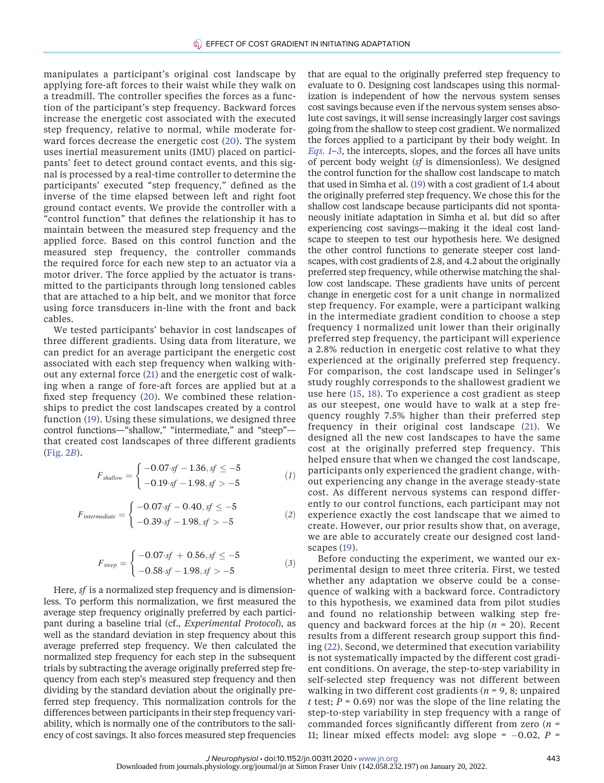manipulates a participant's original cost landscape by applying fore-aft forces to their waist while they walk on a treadmill. The controller specifies the forces as a function of the participant's step frequency. Backward forces increase the energetic cost associated with the executed step frequency, relative to normal, while moderate forward forces decrease the energetic cost ([20\)](#page-9-18). The system uses inertial measurement units (IMU) placed on participants' feet to detect ground contact events, and this signal is processed by a real-time controller to determine the participants' executed "step frequency," defined as the inverse of the time elapsed between left and right foot ground contact events. We provide the controller with a "control function" that defines the relationship it has to maintain between the measured step frequency and the applied force. Based on this control function and the measured step frequency, the controller commands the required force for each new step to an actuator via a motor driver. The force applied by the actuator is transmitted to the participants through long tensioned cables that are attached to a hip belt, and we monitor that force using force transducers in-line with the front and back cables.

We tested participants' behavior in cost landscapes of three different gradients. Using data from literature, we can predict for an average participant the energetic cost associated with each step frequency when walking without any external force ([21](#page-9-19)) and the energetic cost of walking when a range of fore-aft forces are applied but at a fixed step frequency [\(20](#page-9-18)). We combined these relationships to predict the cost landscapes created by a control function [\(19\)](#page-9-16). Using these simulations, we designed three control functions—"shallow," "intermediate," and "steep" that created cost landscapes of three different gradients ([Fig. 2](#page-2-1)B).

<span id="page-3-0"></span>
$$
F_{\text{shallow}} = \begin{cases} -0.07 \cdot sf - 1.36, sf \le -5 \\ -0.19 \cdot sf - 1.98, sf > -5 \end{cases} \tag{1}
$$

<span id="page-3-1"></span>
$$
F_{intermediate} = \begin{cases} -0.07 \cdot sf - 0.40, sf \le -5 \\ -0.39 \cdot sf - 1.98, sf > -5 \end{cases}
$$
 (2)

$$
F_{\text{steep}} = \begin{cases} -0.07 \cdot \text{sf} + 0.56, \text{sf} \le -5 \\ -0.58 \cdot \text{sf} - 1.98, \text{sf} > -5 \end{cases} \tag{3}
$$

Here, sf is a normalized step frequency and is dimensionless. To perform this normalization, we first measured the average step frequency originally preferred by each participant during a baseline trial (cf., Experimental Protocol), as well as the standard deviation in step frequency about this average preferred step frequency. We then calculated the normalized step frequency for each step in the subsequent trials by subtracting the average originally preferred step frequency from each step's measured step frequency and then dividing by the standard deviation about the originally preferred step frequency. This normalization controls for the differences between participants in their step frequency variability, which is normally one of the contributors to the saliency of cost savings. It also forces measured step frequencies

that are equal to the originally preferred step frequency to evaluate to 0. Designing cost landscapes using this normalization is independent of how the nervous system senses cost savings because even if the nervous system senses absolute cost savings, it will sense increasingly larger cost savings going from the shallow to steep cost gradient. We normalized the forces applied to a participant by their body weight. In [Eqs. 1](#page-3-0)–[3](#page-3-1), the intercepts, slopes, and the forces all have units of percent body weight (sf is dimensionless). We designed the control function for the shallow cost landscape to match that used in Simha et al. [\(19](#page-9-16)) with a cost gradient of 1.4 about the originally preferred step frequency. We chose this for the shallow cost landscape because participants did not spontaneously initiate adaptation in Simha et al. but did so after experiencing cost savings—making it the ideal cost landscape to steepen to test our hypothesis here. We designed the other control functions to generate steeper cost landscapes, with cost gradients of 2.8, and 4.2 about the originally preferred step frequency, while otherwise matching the shallow cost landscape. These gradients have units of percent change in energetic cost for a unit change in normalized step frequency. For example, were a participant walking in the intermediate gradient condition to choose a step frequency 1 normalized unit lower than their originally preferred step frequency, the participant will experience a 2.8% reduction in energetic cost relative to what they experienced at the originally preferred step frequency. For comparison, the cost landscape used in Selinger's study roughly corresponds to the shallowest gradient we use here [\(15](#page-9-13), [18\)](#page-9-20). To experience a cost gradient as steep as our steepest, one would have to walk at a step frequency roughly 7.5% higher than their preferred step frequency in their original cost landscape [\(21](#page-9-19)). We designed all the new cost landscapes to have the same cost at the originally preferred step frequency. This helped ensure that when we changed the cost landscape, participants only experienced the gradient change, without experiencing any change in the average steady-state cost. As different nervous systems can respond differently to our control functions, each participant may not experience exactly the cost landscape that we aimed to create. However, our prior results show that, on average, we are able to accurately create our designed cost landscapes [\(19\)](#page-9-16).

Before conducting the experiment, we wanted our experimental design to meet three criteria. First, we tested whether any adaptation we observe could be a consequence of walking with a backward force. Contradictory to this hypothesis, we examined data from pilot studies and found no relationship between walking step frequency and backward forces at the hip  $(n = 20)$ . Recent results from a different research group support this finding ([22\)](#page-9-21). Second, we determined that execution variability is not systematically impacted by the different cost gradient conditions. On average, the step-to-step variability in self-selected step frequency was not different between walking in two different cost gradients ( $n = 9$ , 8; unpaired t test;  $P = 0.69$ ) nor was the slope of the line relating the step-to-step variability in step frequency with a range of commanded forces significantly different from zero  $(n =$ 11; linear mixed effects model: avg slope =  $-0.02$ ,  $P =$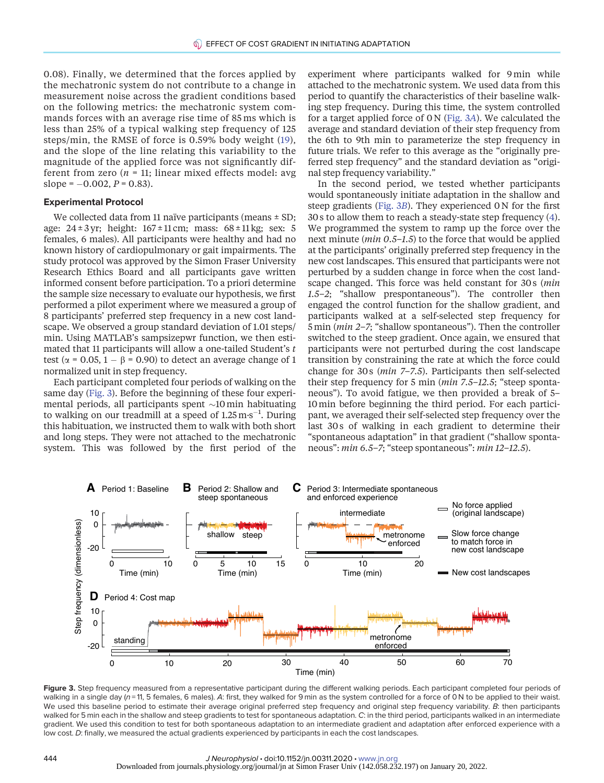0.08). Finally, we determined that the forces applied by the mechatronic system do not contribute to a change in measurement noise across the gradient conditions based on the following metrics: the mechatronic system commands forces with an average rise time of 85 ms which is less than 25% of a typical walking step frequency of 125 steps/min, the RMSE of force is 0.59% body weight [\(19\)](#page-9-16), and the slope of the line relating this variability to the magnitude of the applied force was not significantly different from zero ( $n = 11$ ; linear mixed effects model: avg slope =  $-0.002$ ,  $P = 0.83$ ).

#### Experimental Protocol

We collected data from 11 naïve participants (means  $\pm$  SD; age:  $24 \pm 3$  yr; height:  $167 \pm 11$  cm; mass:  $68 \pm 11$  kg; sex: 5 females, 6 males). All participants were healthy and had no known history of cardiopulmonary or gait impairments. The study protocol was approved by the Simon Fraser University Research Ethics Board and all participants gave written informed consent before participation. To a priori determine the sample size necessary to evaluate our hypothesis, we first performed a pilot experiment where we measured a group of 8 participants' preferred step frequency in a new cost landscape. We observed a group standard deviation of 1.01 steps/ min. Using MATLAB's sampsizepwr function, we then estimated that 11 participants will allow a one-tailed Student's t test ( $\alpha$  = 0.05, 1 –  $\beta$  = 0.90) to detect an average change of 1 normalized unit in step frequency.

Each participant completed four periods of walking on the same day ([Fig. 3\)](#page-4-0). Before the beginning of these four experimental periods, all participants spent  $\sim$ 10 min habituating to walking on our treadmill at a speed of  $1.25 \text{ m} \cdot \text{s}^{-1}$ . During this habituation, we instructed them to walk with both short and long steps. They were not attached to the mechatronic system. This was followed by the first period of the

experiment where participants walked for 9min while attached to the mechatronic system. We used data from this period to quantify the characteristics of their baseline walking step frequency. During this time, the system controlled for a target applied force of  $0 \text{ N}$  [\(Fig. 3](#page-4-0)A). We calculated the average and standard deviation of their step frequency from the 6th to 9th min to parameterize the step frequency in future trials. We refer to this average as the "originally preferred step frequency" and the standard deviation as "original step frequency variability."

In the second period, we tested whether participants would spontaneously initiate adaptation in the shallow and steep gradients ([Fig. 3](#page-4-0)B). They experienced 0 N for the first 30 s to allow them to reach a steady-state step frequency ([4](#page-9-2)). We programmed the system to ramp up the force over the next minute (*min* 0.5–1.5) to the force that would be applied at the participants' originally preferred step frequency in the new cost landscapes. This ensured that participants were not perturbed by a sudden change in force when the cost landscape changed. This force was held constant for 30s (min 1.5–2; "shallow prespontaneous"). The controller then engaged the control function for the shallow gradient, and participants walked at a self-selected step frequency for 5min (min 2–7; "shallow spontaneous"). Then the controller switched to the steep gradient. Once again, we ensured that participants were not perturbed during the cost landscape transition by constraining the rate at which the force could change for 30 s ( $min$  7-7.5). Participants then self-selected their step frequency for 5 min (min 7.5-12.5; "steep spontaneous"). To avoid fatigue, we then provided a break of 5– 10min before beginning the third period. For each participant, we averaged their self-selected step frequency over the last 30s of walking in each gradient to determine their "spontaneous adaptation" in that gradient ("shallow spontaneous": min 6.5–7; "steep spontaneous": min 12–12.5).



<span id="page-4-0"></span>Figure 3. Step frequency measured from a representative participant during the different walking periods. Each participant completed four periods of walking in a single day  $(n = 11, 5$  females, 6 males). A: first, they walked for 9 min as the system controlled for a force of 0 N to be applied to their waist. We used this baseline period to estimate their average original preferred step frequency and original step frequency variability. B: then participants walked for 5 min each in the shallow and steep gradients to test for spontaneous adaptation. C: in the third period, participants walked in an intermediate gradient. We used this condition to test for both spontaneous adaptation to an intermediate gradient and adaptation after enforced experience with a low cost. D: finally, we measured the actual gradients experienced by participants in each the cost landscapes.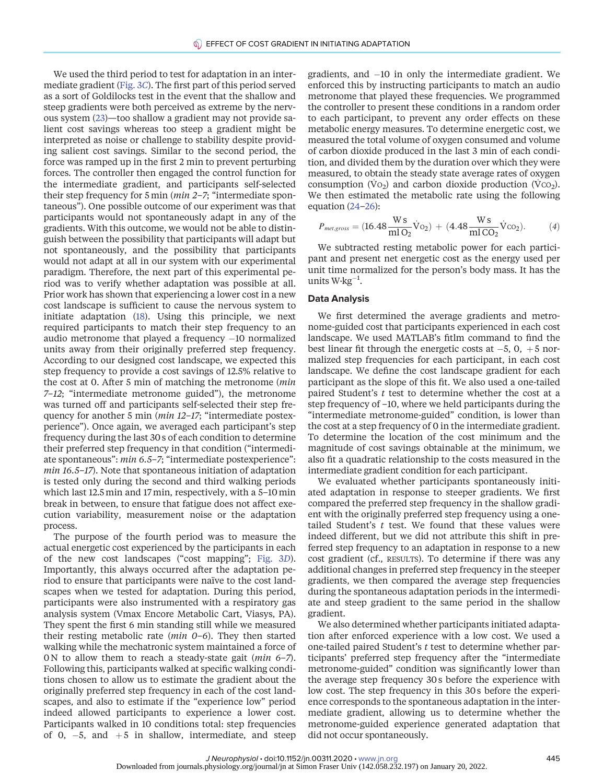We used the third period to test for adaptation in an intermediate gradient ([Fig. 3](#page-4-0)C). The first part of this period served as a sort of Goldilocks test in the event that the shallow and steep gradients were both perceived as extreme by the nervous system [\(23\)](#page-9-22)—too shallow a gradient may not provide salient cost savings whereas too steep a gradient might be interpreted as noise or challenge to stability despite providing salient cost savings. Similar to the second period, the force was ramped up in the first 2 min to prevent perturbing forces. The controller then engaged the control function for the intermediate gradient, and participants self-selected their step frequency for 5 min (*min 2–7*; "intermediate spontaneous"). One possible outcome of our experiment was that participants would not spontaneously adapt in any of the gradients. With this outcome, we would not be able to distinguish between the possibility that participants will adapt but not spontaneously, and the possibility that participants would not adapt at all in our system with our experimental paradigm. Therefore, the next part of this experimental period was to verify whether adaptation was possible at all. Prior work has shown that experiencing a lower cost in a new cost landscape is sufficient to cause the nervous system to initiate adaptation ([18\)](#page-9-20). Using this principle, we next required participants to match their step frequency to an audio metronome that played a frequency  $-10$  normalized units away from their originally preferred step frequency. According to our designed cost landscape, we expected this step frequency to provide a cost savings of 12.5% relative to the cost at 0. After 5 min of matching the metronome (min 7–12; "intermediate metronome guided"), the metronome was turned off and participants self-selected their step frequency for another 5 min (*min 12-17*; "intermediate postexperience"). Once again, we averaged each participant's step frequency during the last 30 s of each condition to determine their preferred step frequency in that condition ("intermediate spontaneous": min 6.5–7; "intermediate postexperience": min 16.5–17). Note that spontaneous initiation of adaptation is tested only during the second and third walking periods which last 12.5 min and 17min, respectively, with a 5–10min break in between, to ensure that fatigue does not affect execution variability, measurement noise or the adaptation process.

The purpose of the fourth period was to measure the actual energetic cost experienced by the participants in each of the new cost landscapes ("cost mapping"; [Fig. 3](#page-4-0)D). Importantly, this always occurred after the adaptation period to ensure that participants were naïve to the cost landscapes when we tested for adaptation. During this period, participants were also instrumented with a respiratory gas analysis system (Vmax Encore Metabolic Cart, Viasys, PA). They spent the first 6 min standing still while we measured their resting metabolic rate ( $min$  0–6). They then started walking while the mechatronic system maintained a force of 0 N to allow them to reach a steady-state gait (min 6–7). Following this, participants walked at specific walking conditions chosen to allow us to estimate the gradient about the originally preferred step frequency in each of the cost landscapes, and also to estimate if the "experience low" period indeed allowed participants to experience a lower cost. Participants walked in 10 conditions total: step frequencies of 0,  $-5$ , and  $+5$  in shallow, intermediate, and steep gradients, and  $-10$  in only the intermediate gradient. We enforced this by instructing participants to match an audio metronome that played these frequencies. We programmed the controller to present these conditions in a random order to each participant, to prevent any order effects on these metabolic energy measures. To determine energetic cost, we measured the total volume of oxygen consumed and volume of carbon dioxide produced in the last 3 min of each condition, and divided them by the duration over which they were measured, to obtain the steady state average rates of oxygen consumption (V $o_2$ ) and carbon dioxide production (V $co_2$ ). We then estimated the metabolic rate using the following equation ([24](#page-9-23)–[26](#page-10-0)):

$$
P_{met, gross} = (16.48 \frac{\text{W s}}{\text{m1 O}_2} \dot{\text{V}}_{\text{O2}}) + (4.48 \frac{\text{W s}}{\text{m1 CO}_2} \dot{\text{V}}_{\text{CO2}}). \tag{4}
$$

We subtracted resting metabolic power for each participant and present net energetic cost as the energy used per unit time normalized for the person's body mass. It has the units W $\cdot$ kg $^{-1}$ .

#### Data Analysis

We first determined the average gradients and metronome-guided cost that participants experienced in each cost landscape. We used MATLAB's fitlm command to find the best linear fit through the energetic costs at  $-5$ , 0,  $+5$  normalized step frequencies for each participant, in each cost landscape. We define the cost landscape gradient for each participant as the slope of this fit. We also used a one-tailed paired Student's  $t$  test to determine whether the cost at a step frequency of –10, where we held participants during the "intermediate metronome-guided" condition, is lower than the cost at a step frequency of 0 in the intermediate gradient. To determine the location of the cost minimum and the magnitude of cost savings obtainable at the minimum, we also fit a quadratic relationship to the costs measured in the intermediate gradient condition for each participant.

We evaluated whether participants spontaneously initiated adaptation in response to steeper gradients. We first compared the preferred step frequency in the shallow gradient with the originally preferred step frequency using a onetailed Student's  $t$  test. We found that these values were indeed different, but we did not attribute this shift in preferred step frequency to an adaptation in response to a new cost gradient (cf., RESULTS). To determine if there was any additional changes in preferred step frequency in the steeper gradients, we then compared the average step frequencies during the spontaneous adaptation periods in the intermediate and steep gradient to the same period in the shallow gradient.

We also determined whether participants initiated adaptation after enforced experience with a low cost. We used a one-tailed paired Student's  $t$  test to determine whether participants' preferred step frequency after the "intermediate metronome-guided" condition was significantly lower than the average step frequency 30 s before the experience with low cost. The step frequency in this 30 s before the experience corresponds to the spontaneous adaptation in the intermediate gradient, allowing us to determine whether the metronome-guided experience generated adaptation that did not occur spontaneously.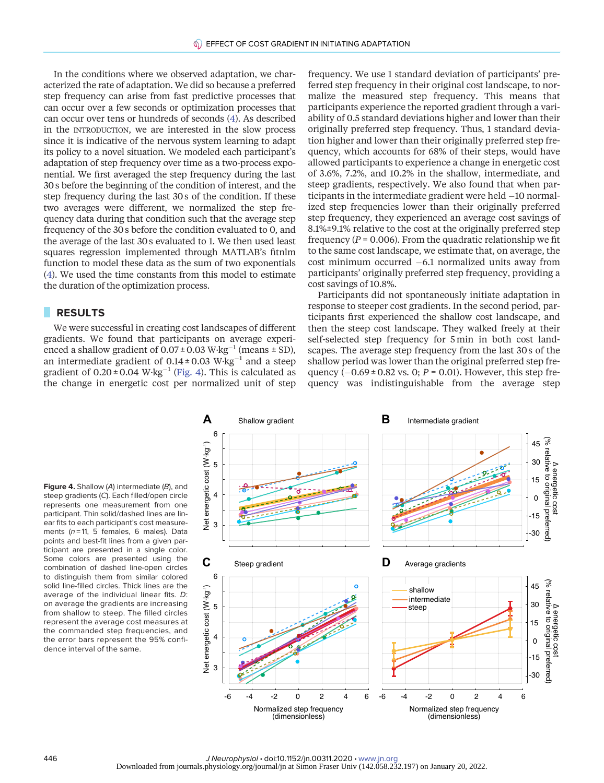In the conditions where we observed adaptation, we characterized the rate of adaptation. We did so because a preferred step frequency can arise from fast predictive processes that can occur over a few seconds or optimization processes that can occur over tens or hundreds of seconds ([4\)](#page-9-2). As described in the INTRODUCTION, we are interested in the slow process since it is indicative of the nervous system learning to adapt its policy to a novel situation. We modeled each participant's adaptation of step frequency over time as a two-process exponential. We first averaged the step frequency during the last 30 s before the beginning of the condition of interest, and the step frequency during the last 30 s of the condition. If these two averages were different, we normalized the step frequency data during that condition such that the average step frequency of the 30 s before the condition evaluated to 0, and the average of the last 30 s evaluated to 1. We then used least squares regression implemented through MATLAB's fitnlm function to model these data as the sum of two exponentials [\(4\)](#page-9-2). We used the time constants from this model to estimate the duration of the optimization process.

### RESULTS

We were successful in creating cost landscapes of different gradients. We found that participants on average experienced a shallow gradient of  $0.07 \pm 0.03$  W·kg<sup>-1</sup> (means  $\pm$  SD), an intermediate gradient of  $0.14 \pm 0.03$  W·kg<sup>-1</sup> and a steep gradient of  $0.20 \pm 0.04$  W·kg<sup>-1</sup> ([Fig. 4\)](#page-6-0). This is calculated as the change in energetic cost per normalized unit of step

frequency. We use 1 standard deviation of participants' preferred step frequency in their original cost landscape, to normalize the measured step frequency. This means that participants experience the reported gradient through a variability of 0.5 standard deviations higher and lower than their originally preferred step frequency. Thus, 1 standard deviation higher and lower than their originally preferred step frequency, which accounts for 68% of their steps, would have allowed participants to experience a change in energetic cost of 3.6%, 7.2%, and 10.2% in the shallow, intermediate, and steep gradients, respectively. We also found that when participants in the intermediate gradient were held  $-10$  normalized step frequencies lower than their originally preferred step frequency, they experienced an average cost savings of 8.1%±9.1% relative to the cost at the originally preferred step frequency ( $P = 0.006$ ). From the quadratic relationship we fit to the same cost landscape, we estimate that, on average, the cost minimum occurred  $-6.1$  normalized units away from participants' originally preferred step frequency, providing a cost savings of 10.8%.

Participants did not spontaneously initiate adaptation in response to steeper cost gradients. In the second period, participants first experienced the shallow cost landscape, and then the steep cost landscape. They walked freely at their self-selected step frequency for 5 min in both cost landscapes. The average step frequency from the last 30 s of the shallow period was lower than the original preferred step frequency  $(-0.69 \pm 0.82 \text{ vs. } 0; P = 0.01)$ . However, this step frequency was indistinguishable from the average step

<span id="page-6-0"></span>Figure 4. Shallow (A) intermediate (B), and steep gradients (C). Each filled/open circle represents one measurement from one participant. Thin solid/dashed lines are linear fits to each participant's cost measurements  $(n = 11, 5$  females, 6 males). Data points and best-fit lines from a given participant are presented in a single color. Some colors are presented using the combination of dashed line-open circles to distinguish them from similar colored solid line-filled circles. Thick lines are the average of the individual linear fits. D: on average the gradients are increasing from shallow to steep. The filled circles represent the average cost measures at the commanded step frequencies, and the error bars represent the 95% confidence interval of the same.

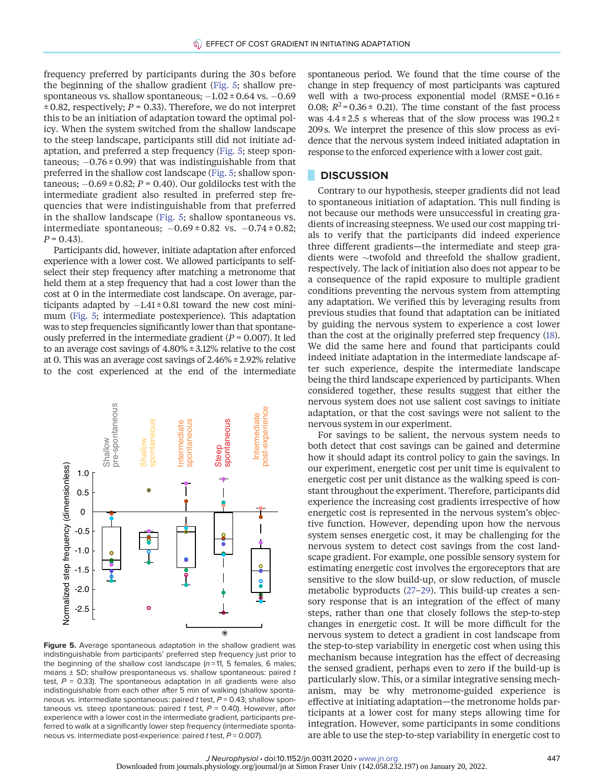frequency preferred by participants during the 30 s before the beginning of the shallow gradient [\(Fig. 5;](#page-7-0) shallow prespontaneous vs. shallow spontaneous;  $-1.02 \pm 0.64$  vs.  $-0.69$  $\pm$  0.82, respectively; P = 0.33). Therefore, we do not interpret this to be an initiation of adaptation toward the optimal policy. When the system switched from the shallow landscape to the steep landscape, participants still did not initiate adaptation, and preferred a step frequency [\(Fig. 5](#page-7-0); steep spontaneous;  $-0.76 \pm 0.99$ ) that was indistinguishable from that preferred in the shallow cost landscape [\(Fig. 5](#page-7-0); shallow spontaneous;  $-0.69 \pm 0.82$ ; P = 0.40). Our goldilocks test with the intermediate gradient also resulted in preferred step frequencies that were indistinguishable from that preferred in the shallow landscape [\(Fig. 5](#page-7-0); shallow spontaneous vs. intermediate spontaneous;  $-0.69 \pm 0.82$  vs.  $-0.74 \pm 0.82$ ;  $P = 0.43$ .

Participants did, however, initiate adaptation after enforced experience with a lower cost. We allowed participants to selfselect their step frequency after matching a metronome that held them at a step frequency that had a cost lower than the cost at 0 in the intermediate cost landscape. On average, participants adapted by  $-1.41 \pm 0.81$  toward the new cost minimum ([Fig. 5](#page-7-0); intermediate postexperience). This adaptation was to step frequencies significantly lower than that spontaneously preferred in the intermediate gradient  $(P = 0.007)$ . It led to an average cost savings of 4.80% ± 3.12% relative to the cost at 0. This was an average cost savings of 2.46% ± 2.92% relative to the cost experienced at the end of the intermediate



<span id="page-7-0"></span>Figure 5. Average spontaneous adaptation in the shallow gradient was indistinguishable from participants' preferred step frequency just prior to the beginning of the shallow cost landscape  $(n=11, 5$  females, 6 males; means  $\pm$  SD; shallow prespontaneous vs. shallow spontaneous: paired t test,  $P = 0.33$ ). The spontaneous adaptation in all gradients were also indistinguishable from each other after 5 min of walking (shallow spontaneous vs. intermediate spontaneous: paired t test,  $P = 0.43$ ; shallow spontaneous vs. steep spontaneous: paired t test,  $P = 0.40$ ). However, after experience with a lower cost in the intermediate gradient, participants preferred to walk at a significantly lower step frequency (intermediate spontaneous vs. intermediate post-experience: paired t test,  $P = 0.007$ ).

spontaneous period. We found that the time course of the change in step frequency of most participants was captured well with a two-process exponential model (RMSE =  $0.16 \pm$ 0.08;  $R^2$ = 0.36 ± 0.21). The time constant of the fast process was  $4.4 \pm 2.5$  s whereas that of the slow process was  $190.2 \pm$ 209 s. We interpret the presence of this slow process as evidence that the nervous system indeed initiated adaptation in response to the enforced experience with a lower cost gait.

# **DISCUSSION**

Contrary to our hypothesis, steeper gradients did not lead to spontaneous initiation of adaptation. This null finding is not because our methods were unsuccessful in creating gradients of increasing steepness. We used our cost mapping trials to verify that the participants did indeed experience three different gradients—the intermediate and steep gradients were  $\sim$ twofold and threefold the shallow gradient, respectively. The lack of initiation also does not appear to be a consequence of the rapid exposure to multiple gradient conditions preventing the nervous system from attempting any adaptation. We verified this by leveraging results from previous studies that found that adaptation can be initiated by guiding the nervous system to experience a cost lower than the cost at the originally preferred step frequency [\(18](#page-9-20)). We did the same here and found that participants could indeed initiate adaptation in the intermediate landscape after such experience, despite the intermediate landscape being the third landscape experienced by participants. When considered together, these results suggest that either the nervous system does not use salient cost savings to initiate adaptation, or that the cost savings were not salient to the nervous system in our experiment.

For savings to be salient, the nervous system needs to both detect that cost savings can be gained and determine how it should adapt its control policy to gain the savings. In our experiment, energetic cost per unit time is equivalent to energetic cost per unit distance as the walking speed is constant throughout the experiment. Therefore, participants did experience the increasing cost gradients irrespective of how energetic cost is represented in the nervous system's objective function. However, depending upon how the nervous system senses energetic cost, it may be challenging for the nervous system to detect cost savings from the cost landscape gradient. For example, one possible sensory system for estimating energetic cost involves the ergoreceptors that are sensitive to the slow build-up, or slow reduction, of muscle metabolic byproducts [\(27](#page-10-1)–[29](#page-10-2)). This build-up creates a sensory response that is an integration of the effect of many steps, rather than one that closely follows the step-to-step changes in energetic cost. It will be more difficult for the nervous system to detect a gradient in cost landscape from the step-to-step variability in energetic cost when using this mechanism because integration has the effect of decreasing the sensed gradient, perhaps even to zero if the build-up is particularly slow. This, or a similar integrative sensing mechanism, may be why metronome-guided experience is effective at initiating adaptation—the metronome holds participants at a lower cost for many steps allowing time for integration. However, some participants in some conditions are able to use the step-to-step variability in energetic cost to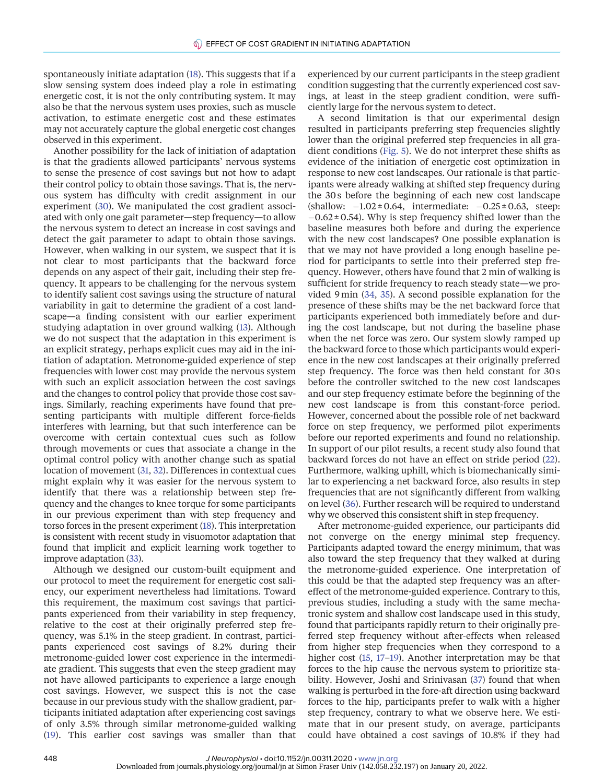spontaneously initiate adaptation [\(18\)](#page-9-20). This suggests that if a slow sensing system does indeed play a role in estimating energetic cost, it is not the only contributing system. It may also be that the nervous system uses proxies, such as muscle activation, to estimate energetic cost and these estimates may not accurately capture the global energetic cost changes observed in this experiment.

Another possibility for the lack of initiation of adaptation is that the gradients allowed participants' nervous systems to sense the presence of cost savings but not how to adapt their control policy to obtain those savings. That is, the nervous system has difficulty with credit assignment in our experiment [\(30](#page-10-3)). We manipulated the cost gradient associated with only one gait parameter—step frequency—to allow the nervous system to detect an increase in cost savings and detect the gait parameter to adapt to obtain those savings. However, when walking in our system, we suspect that it is not clear to most participants that the backward force depends on any aspect of their gait, including their step frequency. It appears to be challenging for the nervous system to identify salient cost savings using the structure of natural variability in gait to determine the gradient of a cost landscape—a finding consistent with our earlier experiment studying adaptation in over ground walking [\(13](#page-9-17)). Although we do not suspect that the adaptation in this experiment is an explicit strategy, perhaps explicit cues may aid in the initiation of adaptation. Metronome-guided experience of step frequencies with lower cost may provide the nervous system with such an explicit association between the cost savings and the changes to control policy that provide those cost savings. Similarly, reaching experiments have found that presenting participants with multiple different force-fields interferes with learning, but that such interference can be overcome with certain contextual cues such as follow through movements or cues that associate a change in the optimal control policy with another change such as spatial location of movement [\(31,](#page-10-4) [32\)](#page-10-5). Differences in contextual cues might explain why it was easier for the nervous system to identify that there was a relationship between step frequency and the changes to knee torque for some participants in our previous experiment than with step frequency and torso forces in the present experiment ([18](#page-9-20)). This interpretation is consistent with recent study in visuomotor adaptation that found that implicit and explicit learning work together to improve adaptation [\(33](#page-10-6)).

Although we designed our custom-built equipment and our protocol to meet the requirement for energetic cost saliency, our experiment nevertheless had limitations. Toward this requirement, the maximum cost savings that participants experienced from their variability in step frequency, relative to the cost at their originally preferred step frequency, was 5.1% in the steep gradient. In contrast, participants experienced cost savings of 8.2% during their metronome-guided lower cost experience in the intermediate gradient. This suggests that even the steep gradient may not have allowed participants to experience a large enough cost savings. However, we suspect this is not the case because in our previous study with the shallow gradient, participants initiated adaptation after experiencing cost savings of only 3.5% through similar metronome-guided walking ([19](#page-9-16)). This earlier cost savings was smaller than that experienced by our current participants in the steep gradient condition suggesting that the currently experienced cost savings, at least in the steep gradient condition, were sufficiently large for the nervous system to detect.

A second limitation is that our experimental design resulted in participants preferring step frequencies slightly lower than the original preferred step frequencies in all gradient conditions ([Fig. 5\)](#page-7-0). We do not interpret these shifts as evidence of the initiation of energetic cost optimization in response to new cost landscapes. Our rationale is that participants were already walking at shifted step frequency during the 30 s before the beginning of each new cost landscape (shallow:  $-1.02 \pm 0.64$ , intermediate:  $-0.25 \pm 0.63$ , steep:  $-0.62 \pm 0.54$ ). Why is step frequency shifted lower than the baseline measures both before and during the experience with the new cost landscapes? One possible explanation is that we may not have provided a long enough baseline period for participants to settle into their preferred step frequency. However, others have found that 2 min of walking is sufficient for stride frequency to reach steady state—we provided 9min [\(34](#page-10-7), [35](#page-10-8)). A second possible explanation for the presence of these shifts may be the net backward force that participants experienced both immediately before and during the cost landscape, but not during the baseline phase when the net force was zero. Our system slowly ramped up the backward force to those which participants would experience in the new cost landscapes at their originally preferred step frequency. The force was then held constant for 30 s before the controller switched to the new cost landscapes and our step frequency estimate before the beginning of the new cost landscape is from this constant-force period. However, concerned about the possible role of net backward force on step frequency, we performed pilot experiments before our reported experiments and found no relationship. In support of our pilot results, a recent study also found that backward forces do not have an effect on stride period ([22](#page-9-21)). Furthermore, walking uphill, which is biomechanically similar to experiencing a net backward force, also results in step frequencies that are not significantly different from walking on level [\(36](#page-10-9)). Further research will be required to understand why we observed this consistent shift in step frequency.

After metronome-guided experience, our participants did not converge on the energy minimal step frequency. Participants adapted toward the energy minimum, that was also toward the step frequency that they walked at during the metronome-guided experience. One interpretation of this could be that the adapted step frequency was an aftereffect of the metronome-guided experience. Contrary to this, previous studies, including a study with the same mechatronic system and shallow cost landscape used in this study, found that participants rapidly return to their originally preferred step frequency without after-effects when released from higher step frequencies when they correspond to a higher cost ([15](#page-9-13), [17](#page-9-15)–[19](#page-9-16)). Another interpretation may be that forces to the hip cause the nervous system to prioritize stability. However, Joshi and Srinivasan ([37\)](#page-10-10) found that when walking is perturbed in the fore-aft direction using backward forces to the hip, participants prefer to walk with a higher step frequency, contrary to what we observe here. We estimate that in our present study, on average, participants could have obtained a cost savings of 10.8% if they had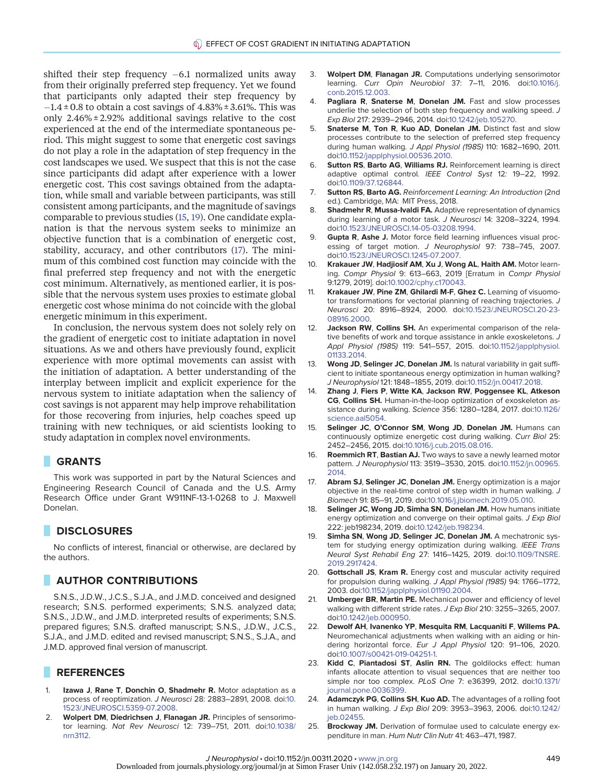shifted their step frequency  $-6.1$  normalized units away from their originally preferred step frequency. Yet we found that participants only adapted their step frequency by  $-1.4 \pm 0.8$  to obtain a cost savings of  $4.83\% \pm 3.61\%$ . This was only  $2.46\% \pm 2.92\%$  additional savings relative to the cost experienced at the end of the intermediate spontaneous period. This might suggest to some that energetic cost savings do not play a role in the adaptation of step frequency in the cost landscapes we used. We suspect that this is not the case since participants did adapt after experience with a lower energetic cost. This cost savings obtained from the adaptation, while small and variable between participants, was still consistent among participants, and the magnitude of savings comparable to previous studies [\(15](#page-9-13), [19\)](#page-9-16). One candidate explanation is that the nervous system seeks to minimize an objective function that is a combination of energetic cost, stability, accuracy, and other contributors [\(17](#page-9-15)). The minimum of this combined cost function may coincide with the final preferred step frequency and not with the energetic cost minimum. Alternatively, as mentioned earlier, it is possible that the nervous system uses proxies to estimate global energetic cost whose minima do not coincide with the global energetic minimum in this experiment.

In conclusion, the nervous system does not solely rely on the gradient of energetic cost to initiate adaptation in novel situations. As we and others have previously found, explicit experience with more optimal movements can assist with the initiation of adaptation. A better understanding of the interplay between implicit and explicit experience for the nervous system to initiate adaptation when the saliency of cost savings is not apparent may help improve rehabilitation for those recovering from injuries, help coaches speed up training with new techniques, or aid scientists looking to study adaptation in complex novel environments.

# GRANTS

This work was supported in part by the Natural Sciences and Engineering Research Council of Canada and the U.S. Army Research Office under Grant W911NF-13-1-0268 to J. Maxwell Donelan.

## **DISCLOSURES**

No conflicts of interest, financial or otherwise, are declared by the authors.

### **AUTHOR CONTRIBUTIONS**

S.N.S., J.D.W., J.C.S., S.J.A., and J.M.D. conceived and designed research; S.N.S. performed experiments; S.N.S. analyzed data; S.N.S., J.D.W., and J.M.D. interpreted results of experiments; S.N.S. prepared figures; S.N.S. drafted manuscript; S.N.S., J.D.W., J.C.S., S.J.A., and J.M.D. edited and revised manuscript; S.N.S., S.J.A., and J.M.D. approved final version of manuscript.

# REFERENCES

- <span id="page-9-0"></span>1. Izawa J, Rane T, Donchin O, Shadmehr R. Motor adaptation as a process of reoptimization. J Neurosci 28: 2883–2891, 2008. doi[:10.](https://doi.org/10.1523/JNEUROSCI.5359-07.2008) [1523/JNEUROSCI.5359-07.2008.](https://doi.org/10.1523/JNEUROSCI.5359-07.2008)
- <span id="page-9-4"></span>2. Wolpert DM, Diedrichsen J, Flanagan JR. Principles of sensorimotor learning. Nat Rev Neurosci 12: 739–751, 2011. doi:[10.1038/](https://doi.org/10.1038/nrn3112) [nrn3112.](https://doi.org/10.1038/nrn3112)
- <span id="page-9-1"></span>3. Wolpert DM, Flanagan JR. Computations underlying sensorimotor learning. Curr Opin Neurobiol 37: 7–11, 2016. doi:[10.1016/j.](https://doi.org/10.1016/j.conb.2015.12.003) [conb.2015.12.003.](https://doi.org/10.1016/j.conb.2015.12.003)
- <span id="page-9-2"></span>Pagliara R, Snaterse M, Donelan JM. Fast and slow processes underlie the selection of both step frequency and walking speed. J Exp Biol 217: 2939–2946, 2014. doi:[10.1242/jeb.105270.](https://doi.org/10.1242/jeb.105270)
- <span id="page-9-3"></span>5. Snaterse M, Ton R, Kuo AD, Donelan JM. Distinct fast and slow processes contribute to the selection of preferred step frequency during human walking. J Appl Physiol (1985) 110: 1682–1690, 2011. doi:[10.1152/japplphysiol.00536.2010](https://doi.org/10.1152/japplphysiol.00536.2010).
- <span id="page-9-5"></span>6. Sutton RS, Barto AG, Williams RJ. Reinforcement learning is direct adaptive optimal control. IEEE Control Syst 12: 19-22, 1992. doi:[10.1109/37.126844](https://doi.org/10.1109/37.126844).
- <span id="page-9-6"></span>Sutton RS, Barto AG. Reinforcement Learning: An Introduction (2nd ed.). Cambridge, MA: MIT Press, 2018.
- <span id="page-9-7"></span>8. Shadmehr R, Mussa-Ivaldi FA. Adaptive representation of dynamics during learning of a motor task. J Neurosci 14: 3208–3224, 1994. doi:[10.1523/JNEUROSCI.14-05-03208.1994](https://doi.org/10.1523/JNEUROSCI.14-05-03208.1994).
- <span id="page-9-8"></span>9. Gupta R, Ashe J. Motor force field learning influences visual processing of target motion. J Neurophysiol 97: 738–745, 2007. doi:[10.1523/JNEUROSCI.1245-07.2007.](https://doi.org/10.1523/JNEUROSCI.1245-07.2007)
- <span id="page-9-9"></span>10. Krakauer JW, Hadjiosif AM, Xu J, Wong AL, Haith AM. Motor learning. Compr Physiol 9: 613–663, 2019 [Erratum in Compr Physiol 9:1279, 2019]. doi:[10.1002/cphy.c170043](https://doi.org/10.1002/cphy.c170043).
- <span id="page-9-10"></span>11. Krakauer JW, Pine ZM, Ghilardi M-F, Ghez C. Learning of visuomotor transformations for vectorial planning of reaching trajectories. J Neurosci 20: 8916–8924, 2000. doi[:10.1523/JNEUROSCI.20-23-](https://doi.org/10.1523/JNEUROSCI.20-23-08916.2000) [08916.2000](https://doi.org/10.1523/JNEUROSCI.20-23-08916.2000).
- <span id="page-9-11"></span>12. Jackson RW, Collins SH. An experimental comparison of the relative benefits of work and torque assistance in ankle exoskeletons. J Appl Physiol (1985) 119: 541–557, 2015. doi[:10.1152/japplphysiol.](https://doi.org/10.1152/japplphysiol.01133.2014) [01133.2014](https://doi.org/10.1152/japplphysiol.01133.2014).
- <span id="page-9-17"></span>13. Wong JD, Selinger JC, Donelan JM. Is natural variability in gait sufficient to initiate spontaneous energy optimization in human walking? J Neurophysiol 121: 1848–1855, 2019. doi[:10.1152/jn.00417.2018](https://doi.org/10.1152/jn.00417.2018).
- <span id="page-9-12"></span>Zhang J, Fiers P, Witte KA, Jackson RW, Poggensee KL, Atkeson CG, Collins SH. Human-in-the-loop optimization of exoskeleton assistance during walking. Science 356: 1280–1284, 2017. doi[:10.1126/](https://doi.org/10.1126/science.aal5054) [science.aal5054.](https://doi.org/10.1126/science.aal5054)
- <span id="page-9-13"></span>15. Selinger JC, O'Connor SM, Wong JD, Donelan JM. Humans can continuously optimize energetic cost during walking. Curr Biol 25: 2452–2456, 2015. doi:[10.1016/j.cub.2015.08.016.](https://doi.org/10.1016/j.cub.2015.08.016)
- <span id="page-9-14"></span>16. Roemmich RT, Bastian AJ. Two ways to save a newly learned motor pattern. J Neurophysiol 113: 3519–3530, 2015. doi[:10.1152/jn.00965.](https://doi.org/10.1152/jn.00965.2014) [2014.](https://doi.org/10.1152/jn.00965.2014)
- <span id="page-9-15"></span>17. Abram SJ, Selinger JC, Donelan JM. Energy optimization is a major objective in the real-time control of step width in human walking. J Biomech 91: 85–91, 2019. doi:[10.1016/j.jbiomech.2019.05.010.](https://doi.org/10.1016/j.jbiomech.2019.05.010)
- <span id="page-9-20"></span>18. Selinger JC, Wong JD, Simha SN, Donelan JM. How humans initiate energy optimization and converge on their optimal gaits. J Exp Biol 222: jeb198234, 2019. doi:[10.1242/jeb.198234](https://doi.org/10.1242/jeb.198234).
- <span id="page-9-16"></span>19. Simha SN, Wong JD, Selinger JC, Donelan JM. A mechatronic system for studying energy optimization during walking. IEEE Trans Neural Syst Rehabil Eng 27: 1416–1425, 2019. doi:[10.1109/TNSRE.](https://doi.org/10.1109/TNSRE.2019.2917424) [2019.2917424](https://doi.org/10.1109/TNSRE.2019.2917424).
- <span id="page-9-18"></span>20. Gottschall JS, Kram R. Energy cost and muscular activity required for propulsion during walking. J Appl Physiol (1985) 94: 1766–1772, 2003. doi:[10.1152/japplphysiol.01190.2004](https://doi.org/10.1152/japplphysiol.01190.2004).
- <span id="page-9-19"></span>21. **Umberger BR, Martin PE.** Mechanical power and efficiency of level walking with different stride rates. J Exp Biol 210: 3255–3265, 2007. doi:[10.1242/jeb.000950](https://doi.org/10.1242/jeb.000950).
- <span id="page-9-21"></span>22. Dewolf AH, Ivanenko YP, Mesquita RM, Lacquaniti F, Willems PA. Neuromechanical adjustments when walking with an aiding or hindering horizontal force. Eur J Appl Physiol 120: 91–106, 2020. doi:[10.1007/s00421-019-04251-1](https://doi.org/10.1007/s00421-019-04251-1).
- <span id="page-9-22"></span>23. Kidd C, Piantadosi ST, Aslin RN. The goldilocks effect: human infants allocate attention to visual sequences that are neither too simple nor too complex. PLoS One 7: e36399, 2012. doi[:10.1371/](https://doi.org/10.1371/journal.pone.0036399) [journal.pone.0036399](https://doi.org/10.1371/journal.pone.0036399).
- <span id="page-9-23"></span>24. Adamczyk PG, Collins SH, Kuo AD. The advantages of a rolling foot in human walking. J Exp Biol 209: 3953–3963, 2006. doi:[10.1242/](https://doi.org/10.1242/jeb.02455) ieb.02455.
- 25. Brockway JM. Derivation of formulae used to calculate energy expenditure in man. Hum Nutr Clin Nutr 41: 463–471, 1987.